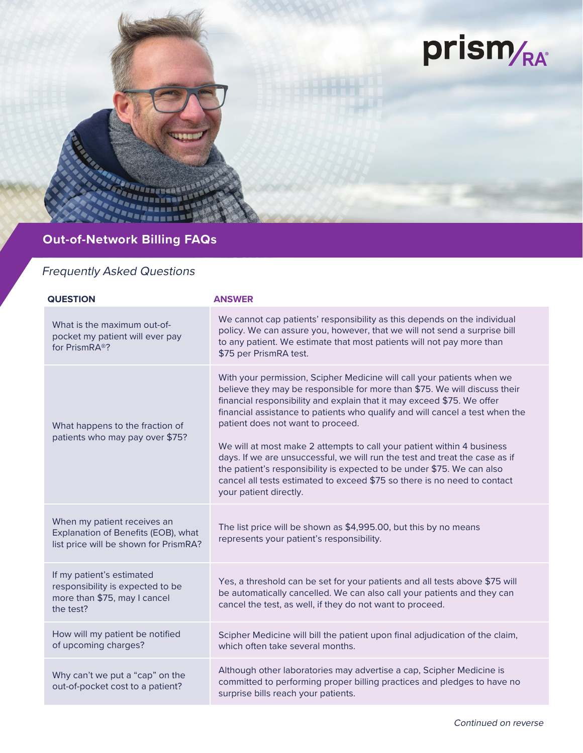

## **Out-of-Network Billing FAQs**

## Frequently Asked Questions

| <b>QUESTION</b>                                                                                             | <b>ANSWER</b>                                                                                                                                                                                                                                                                                                                                                                                                                                                                                                                                                                                                                                                                               |
|-------------------------------------------------------------------------------------------------------------|---------------------------------------------------------------------------------------------------------------------------------------------------------------------------------------------------------------------------------------------------------------------------------------------------------------------------------------------------------------------------------------------------------------------------------------------------------------------------------------------------------------------------------------------------------------------------------------------------------------------------------------------------------------------------------------------|
| What is the maximum out-of-<br>pocket my patient will ever pay<br>for PrismRA <sup>®</sup> ?                | We cannot cap patients' responsibility as this depends on the individual<br>policy. We can assure you, however, that we will not send a surprise bill<br>to any patient. We estimate that most patients will not pay more than<br>\$75 per PrismRA test.                                                                                                                                                                                                                                                                                                                                                                                                                                    |
| What happens to the fraction of<br>patients who may pay over \$75?                                          | With your permission, Scipher Medicine will call your patients when we<br>believe they may be responsible for more than \$75. We will discuss their<br>financial responsibility and explain that it may exceed \$75. We offer<br>financial assistance to patients who qualify and will cancel a test when the<br>patient does not want to proceed.<br>We will at most make 2 attempts to call your patient within 4 business<br>days. If we are unsuccessful, we will run the test and treat the case as if<br>the patient's responsibility is expected to be under \$75. We can also<br>cancel all tests estimated to exceed \$75 so there is no need to contact<br>your patient directly. |
| When my patient receives an<br>Explanation of Benefits (EOB), what<br>list price will be shown for PrismRA? | The list price will be shown as \$4,995.00, but this by no means<br>represents your patient's responsibility.                                                                                                                                                                                                                                                                                                                                                                                                                                                                                                                                                                               |
| If my patient's estimated<br>responsibility is expected to be<br>more than \$75, may I cancel<br>the test?  | Yes, a threshold can be set for your patients and all tests above \$75 will<br>be automatically cancelled. We can also call your patients and they can<br>cancel the test, as well, if they do not want to proceed.                                                                                                                                                                                                                                                                                                                                                                                                                                                                         |
| How will my patient be notified<br>of upcoming charges?                                                     | Scipher Medicine will bill the patient upon final adjudication of the claim,<br>which often take several months.                                                                                                                                                                                                                                                                                                                                                                                                                                                                                                                                                                            |
| Why can't we put a "cap" on the<br>out-of-pocket cost to a patient?                                         | Although other laboratories may advertise a cap, Scipher Medicine is<br>committed to performing proper billing practices and pledges to have no<br>surprise bills reach your patients.                                                                                                                                                                                                                                                                                                                                                                                                                                                                                                      |